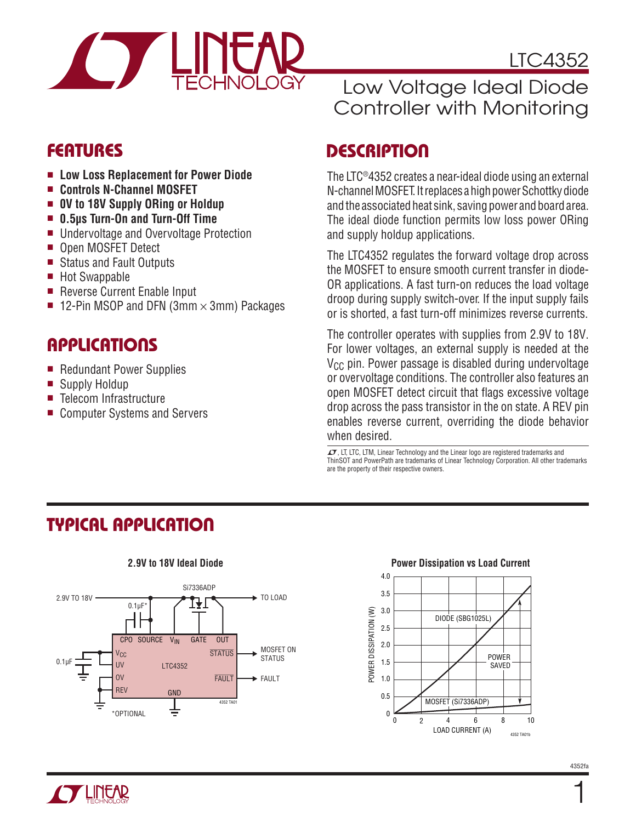

### **FEATURES**

- <sup>n</sup> **Low Loss Replacement for Power Diode**
- <sup>n</sup> **Controls N-Channel MOSFET**
- 0V to 18V Supply ORing or Holdup
- 0.5µs Turn-On and Turn-Off Time
- Undervoltage and Overvoltage Protection
- Open MOSFET Detect
- Status and Fault Outputs
- Hot Swappable
- Reverse Current Enable Input
- **12-Pin MSOP and DFN (3mm**  $\times$  **3mm) Packages**

### Applications

- Redundant Power Supplies
- Supply Holdup
- Telecom Infrastructure
- Computer Systems and Servers

### Low Voltage Ideal Diode Controller with Monitoring

### **DESCRIPTION**

The LTC®4352 creates a near-ideal diode using an external N-channel MOSFET. It replaces a high power Schottky diode and the associated heat sink, saving power and board area. The ideal diode function permits low loss power ORing and supply holdup applications.

The LTC4352 regulates the forward voltage drop across the MOSFET to ensure smooth current transfer in diode-OR applications. A fast turn-on reduces the load voltage droop during supply switch-over. If the input supply fails or is shorted, a fast turn-off minimizes reverse currents.

The controller operates with supplies from 2.9V to 18V. For lower voltages, an external supply is needed at the  $V_{CC}$  pin. Power passage is disabled during undervoltage or overvoltage conditions. The controller also features an open MOSFET detect circuit that flags excessive voltage drop across the pass transistor in the on state. A REV pin enables reverse current, overriding the diode behavior when desired.

 $\sqrt{\ }$ , LT, LTC, LTM, Linear Technology and the Linear logo are registered trademarks and ThinSOT and PowerPath are trademarks of Linear Technology Corporation. All other trademarks are the property of their respective owners.

### Typical Application



#### **2.9V to 18V Ideal Diode**

#### **Power Dissipation vs Load Current**

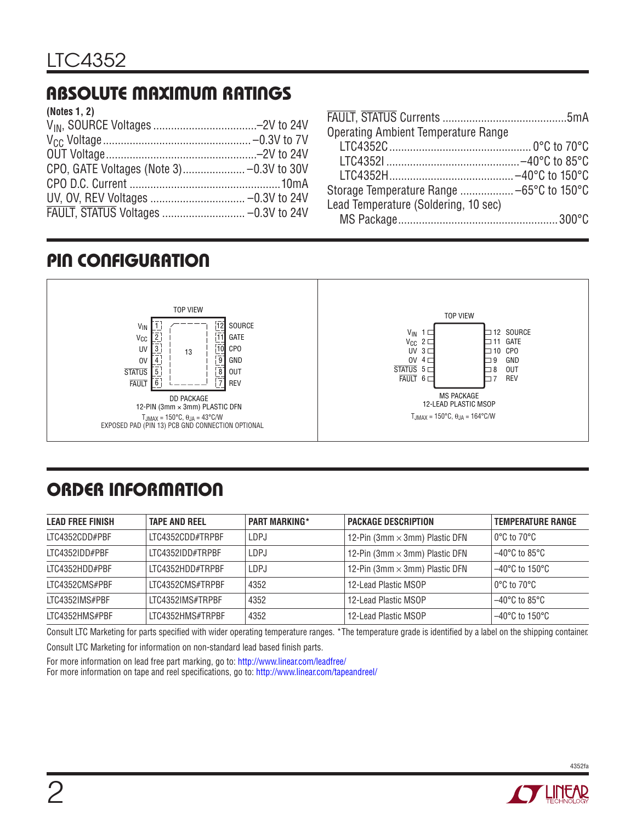# Absolute Maximum Ratings

| (Notes 1, 2) |  |
|--------------|--|
|              |  |
|              |  |
|              |  |
|              |  |
|              |  |
|              |  |
|              |  |
|              |  |

| <b>Operating Ambient Temperature Range</b> |  |
|--------------------------------------------|--|
|                                            |  |
|                                            |  |
|                                            |  |
|                                            |  |
| Lead Temperature (Soldering, 10 sec)       |  |
|                                            |  |

# Pin Configuration



# ORDER INFORMATION

| <b>LEAD FREE FINISH</b> | <b>TAPE AND REEL</b> | <b>PART MARKING*</b> | <b>PACKAGE DESCRIPTION</b>            | <b>TEMPERATURE RANGE</b>            |
|-------------------------|----------------------|----------------------|---------------------------------------|-------------------------------------|
| ITC4352CDD#PBF          | LTC4352CDD#TRPBF     | LDPJ                 | 12-Pin (3mm $\times$ 3mm) Plastic DFN | $0^{\circ}$ C to 70 $^{\circ}$ C    |
| LTC4352IDD#PBF          | ITC4352IDD#TRPRF     | LDPJ                 | 12-Pin (3mm $\times$ 3mm) Plastic DFN | $-40^{\circ}$ C to 85 $^{\circ}$ C  |
| ITC4352HDD#PBF          | LTC4352HDD#TRPBF     | LDPJ                 | 12-Pin (3mm $\times$ 3mm) Plastic DFN | $-40^{\circ}$ C to 150 $^{\circ}$ C |
| ITC4352CMS#PBF          | ITC4352CMS#TRPBF     | 4352                 | 12-Lead Plastic MSOP                  | $0^{\circ}$ C to 70 $^{\circ}$ C    |
| LTC4352IMS#PBF          | LTC4352IMS#TRPBF     | 4352                 | 12-Lead Plastic MSOP                  | $-40^{\circ}$ C to 85 $^{\circ}$ C  |
| LTC4352HMS#PBF          | LTC4352HMS#TRPBF     | 4352                 | 12-Lead Plastic MSOP                  | $-40^{\circ}$ C to 150 $^{\circ}$ C |

Consult LTC Marketing for parts specified with wider operating temperature ranges. \*The temperature grade is identified by a label on the shipping container.

Consult LTC Marketing for information on non-standard lead based finish parts.

For more information on lead free part marking, go to: http://www.linear.com/leadfree/

For more information on tape and reel specifications, go to: http://www.linear.com/tapeandreel/

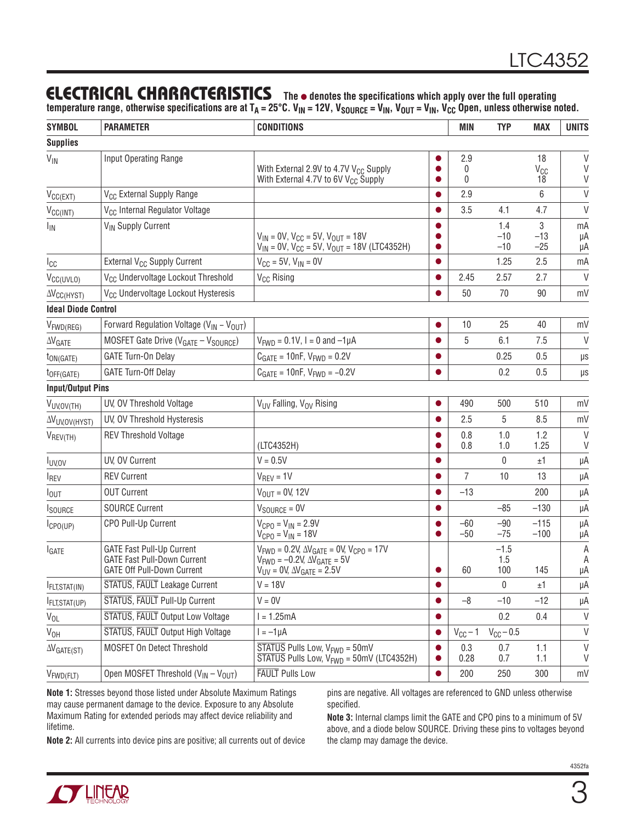### **ELECTRICAL CHARACTERISTICS** The  $\bullet$  denotes the specifications which apply over the full operating

temperature range, otherwise specifications are at T<sub>A</sub> = 25°C. V<sub>IN</sub> = 12V, V<sub>SOURCE</sub> = V<sub>IN</sub>, V<sub>OUT</sub> = V<sub>IN</sub>, V<sub>CC</sub> Open, unless otherwise noted.

| <b>SYMBOL</b>                | <b>PARAMETER</b>                                                                                     | <b>CONDITIONS</b>                                                                                                                                          |           | <b>MIN</b>           | <b>TYP</b>            | <b>MAX</b>                  | <b>UNITS</b>     |
|------------------------------|------------------------------------------------------------------------------------------------------|------------------------------------------------------------------------------------------------------------------------------------------------------------|-----------|----------------------|-----------------------|-----------------------------|------------------|
| <b>Supplies</b>              |                                                                                                      |                                                                                                                                                            |           |                      |                       |                             |                  |
| $V_{\text{IN}}$              | Input Operating Range                                                                                | With External 2.9V to 4.7V V <sub>CC</sub> Supply<br>With External 4.7V to 6V V <sub>CC</sub> Supply                                                       |           | 2.9<br>0<br>$\Omega$ |                       | 18<br>V <sub>CC</sub><br>18 | V<br>V<br>V      |
| $V_{CC(EXT)}$                | V <sub>CC</sub> External Supply Range                                                                |                                                                                                                                                            |           | 2.9                  |                       | 6                           | $\vee$           |
| $V_{CC(INT)}$                | V <sub>CC</sub> Internal Regulator Voltage                                                           |                                                                                                                                                            |           | 3.5                  | 4.1                   | 4.7                         | V                |
| <b>I<sub>IN</sub></b>        | V <sub>IN</sub> Supply Current                                                                       | $V_{IN} = 0V$ , $V_{CC} = 5V$ , $V_{OUT} = 18V$<br>$V_{IN} = 0V$ , $V_{CC} = 5V$ , $V_{OUT} = 18V$ (LTC4352H)                                              |           |                      | 1.4<br>$-10$<br>$-10$ | 3<br>$-13$<br>$-25$         | mA<br>μA<br>μA   |
| Icc                          | External V <sub>CC</sub> Supply Current                                                              | $V_{CC} = 5V$ , $V_{IN} = 0V$                                                                                                                              | $\bullet$ |                      | 1.25                  | 2.5                         | mA               |
| V <sub>CC(UVLO)</sub>        | V <sub>CC</sub> Undervoltage Lockout Threshold                                                       | V <sub>CC</sub> Rising                                                                                                                                     |           | 2.45                 | 2.57                  | 2.7                         | $\vee$           |
| $\Delta V_{\text{CC(HYST)}}$ | V <sub>CC</sub> Undervoltage Lockout Hysteresis                                                      |                                                                                                                                                            |           | 50                   | 70                    | 90                          | mV               |
| <b>Ideal Diode Control</b>   |                                                                                                      |                                                                                                                                                            |           |                      |                       |                             |                  |
| $V_{FWD(REG)}$               | Forward Regulation Voltage ( $V_{IN} - V_{OUT}$ )                                                    |                                                                                                                                                            |           | 10                   | 25                    | 40                          | mV               |
| $\Delta\rm{V_{GATE}}$        | MOSFET Gate Drive (V <sub>GATE</sub> - V <sub>SOURCE</sub> )                                         | $V_{FWD} = 0.1V$ , I = 0 and $-1\mu A$                                                                                                                     |           | 5                    | 6.1                   | 7.5                         | $\vee$           |
| t <sub>ON(GATE)</sub>        | GATE Turn-On Delay                                                                                   | $C_{GATE} = 10nF$ , $V_{FWD} = 0.2V$                                                                                                                       |           |                      | 0.25                  | 0.5                         | $\mu s$          |
| t <sub>OFF(GATE)</sub>       | <b>GATE Turn-Off Delay</b>                                                                           | $C_{GATE} = 10nF$ , $V_{FWD} = -0.2V$                                                                                                                      |           |                      | 0.2                   | 0.5                         | μs               |
| <b>Input/Output Pins</b>     |                                                                                                      |                                                                                                                                                            |           |                      |                       |                             |                  |
| VUV, OV (TH)                 | UV, OV Threshold Voltage                                                                             | V <sub>UV</sub> Falling, V <sub>OV</sub> Rising                                                                                                            | $\bullet$ | 490                  | 500                   | 510                         | mV               |
| <b>AVUV, OV (HYST)</b>       | UV, OV Threshold Hysteresis                                                                          |                                                                                                                                                            |           | 2.5                  | 5                     | 8.5                         | mV               |
| $V_{REV(TH)}$                | <b>REV Threshold Voltage</b>                                                                         | (LTC4352H)                                                                                                                                                 |           | 0.8<br>0.8           | 1.0<br>1.0            | 1.2<br>1.25                 | $\vee$<br>$\vee$ |
| <b>I</b> UVOV                | UV, OV Current                                                                                       | $V = 0.5V$                                                                                                                                                 |           |                      | 0                     | ±1                          | μA               |
| <b>IREV</b>                  | <b>REV Current</b>                                                                                   | $V_{REV} = 1V$                                                                                                                                             |           | $\overline{7}$       | 10                    | 13                          | μA               |
| $I_{\text{OUT}}$             | <b>OUT Current</b>                                                                                   | $V_{OUT} = 0V, 12V$                                                                                                                                        | $\bullet$ | $-13$                |                       | 200                         | μA               |
| <b>I</b> SOURCE              | <b>SOURCE Current</b>                                                                                | $V_{SOURCE} = 0V$                                                                                                                                          |           |                      | $-85$                 | $-130$                      | μA               |
| $I_{\text{CPO(UP)}}$         | CPO Pull-Up Current                                                                                  | $V_{CPO} = V_{IN} = 2.9V$<br>$V_{CPO} = V_{IN} = 18V$                                                                                                      |           | $-60$<br>$-50$       | $-90$<br>$-75$        | $-115$<br>$-100$            | μA<br>μA         |
| <b>I</b> GATE                | <b>GATE Fast Pull-Up Current</b><br><b>GATE Fast Pull-Down Current</b><br>GATE Off Pull-Down Current | $V_{FWD} = 0.2V, \Delta V_{GATE} = 0V, V_{CPO} = 17V$<br>$V_{FWD} = -0.2V, \Delta V_{GATE} = 5V$<br>$V_{\text{UV}} = 0$ V, $\Delta V_{\text{GATE}} = 2.5V$ |           | 60                   | $-1.5$<br>1.5<br>100  | 145                         | A<br>A<br>μA     |
| <b>IFLT, STAT(IN)</b>        | STATUS, FAULT Leakage Current                                                                        | $V = 18V$                                                                                                                                                  | $\bullet$ |                      | 0                     | ±1                          | μA               |
| FLT, STAT(UP)                | STATUS, FAULT Pull-Up Current                                                                        | $V = 0V$                                                                                                                                                   |           | $-8$                 | $-10$                 | $-12$                       | μA               |
| $V_{OL}$                     | STATUS, FAULT Output Low Voltage                                                                     | $I = 1.25mA$                                                                                                                                               | ●         |                      | 0.2                   | 0.4                         | V                |
| V <sub>OH</sub>              | STATUS, FAULT Output High Voltage                                                                    | $I = -1\mu A$                                                                                                                                              |           | $V_{CC}$ – 1         | $V_{CC}$ - 0.5        |                             | V                |
| $\Delta V$ GATE(ST)          | MOSFET On Detect Threshold                                                                           | $\overline{\text{STATUS}}$ Pulls Low, $V_{\text{FWD}} = 50 \text{mV}$<br>$\overline{\text{STATUS}}$ Pulls Low, $V_{\text{FWD}} = 50 \text{mV}$ (LTC4352H)  | 0         | 0.3<br>0.28          | 0.7<br>0.7            | 1.1<br>1.1                  | V<br>V           |
| $V_{FWD(FLT)}$               | Open MOSFET Threshold (V <sub>IN</sub> - V <sub>OUT</sub> )                                          | <b>FAULT</b> Pulls Low                                                                                                                                     | $\bullet$ | 200                  | 250                   | 300                         | mV               |

**Note 1:** Stresses beyond those listed under Absolute Maximum Ratings may cause permanent damage to the device. Exposure to any Absolute Maximum Rating for extended periods may affect device reliability and lifetime.

pins are negative. All voltages are referenced to GND unless otherwise specified.

**Note 2:** All currents into device pins are positive; all currents out of device

**Note 3:** Internal clamps limit the GATE and CPO pins to a minimum of 5V above, and a diode below SOURCE. Driving these pins to voltages beyond the clamp may damage the device.

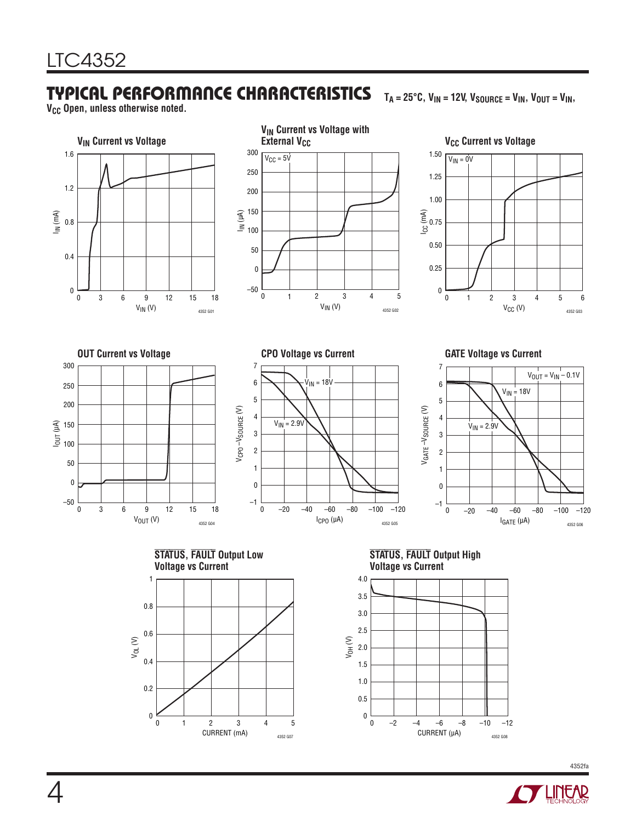### Typical Performance Characteristics

**V<sub>CC</sub> Open, unless otherwise noted.** 



 $T_A = 25^{\circ}C$ ,  $V_{IN} = 12V$ ,  $V_{SOURCE} = V_{IN}$ ,  $V_{OUT} = V_{IN}$ ,

4352fa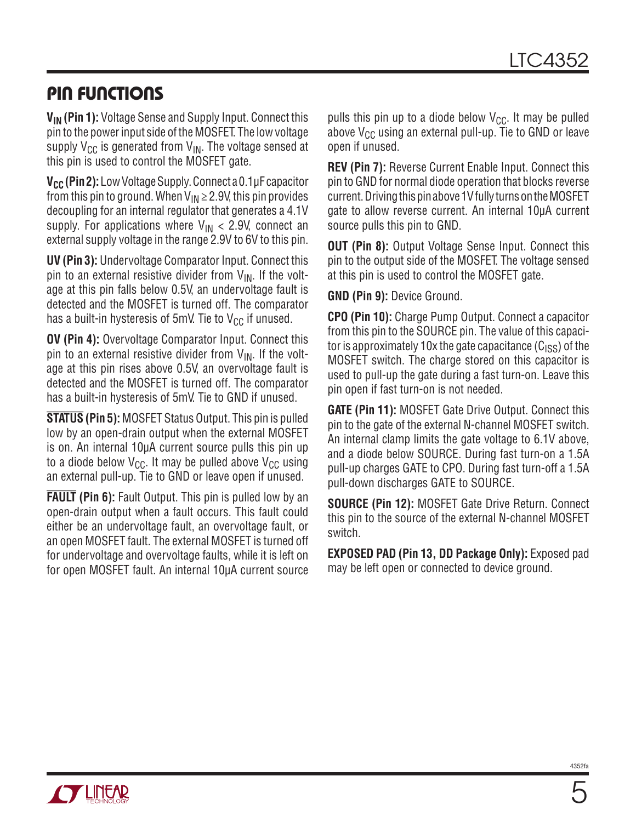### Pin Functions

**VIN (Pin 1):** Voltage Sense and Supply Input. Connect this pin to the power input side of the MOSFET. The low voltage supply  $V_{CC}$  is generated from  $V_{IN}$ . The voltage sensed at this pin is used to control the MOSFET gate.

**V<sub>CC</sub> (Pin 2):** Low Voltage Supply. Connect a 0.1μF capacitor from this pin to ground. When  $V_{IN} \ge 2.9V$ , this pin provides decoupling for an internal regulator that generates a 4.1V supply. For applications where  $V_{IN}$  < 2.9V, connect an external supply voltage in the range 2.9V to 6V to this pin.

**UV (Pin 3):** Undervoltage Comparator Input. Connect this pin to an external resistive divider from  $V_{IN}$ . If the voltage at this pin falls below 0.5V, an undervoltage fault is detected and the MOSFET is turned off. The comparator has a built-in hysteresis of 5mV. Tie to  $V_{CC}$  if unused.

**OV (Pin 4):** Overvoltage Comparator Input. Connect this pin to an external resistive divider from  $V_{\text{IN}}$ . If the voltage at this pin rises above 0.5V, an overvoltage fault is detected and the MOSFET is turned off. The comparator has a built-in hysteresis of 5mV. Tie to GND if unused.

**STATUS (Pin 5):** MOSFET Status Output. This pin is pulled low by an open-drain output when the external MOSFET is on. An internal 10µA current source pulls this pin up to a diode below  $V_{CC}$ . It may be pulled above  $V_{CC}$  using an external pull-up. Tie to GND or leave open if unused.

**FAULT** (Pin 6): Fault Output. This pin is pulled low by an open-drain output when a fault occurs. This fault could either be an undervoltage fault, an overvoltage fault, or an open MOSFET fault. The external MOSFET is turned off for undervoltage and overvoltage faults, while it is left on for open MOSFET fault. An internal 10µA current source

pulls this pin up to a diode below  $V_{CC}$ . It may be pulled above  $V_{CC}$  using an external pull-up. Tie to GND or leave open if unused.

**REV (Pin 7):** Reverse Current Enable Input. Connect this pin to GND for normal diode operation that blocks reverse current. Driving this pin above 1V fully turns on the MOSFET gate to allow reverse current. An internal 10µA current source pulls this pin to GND.

**OUT (Pin 8):** Output Voltage Sense Input. Connect this pin to the output side of the MOSFET. The voltage sensed at this pin is used to control the MOSFET gate.

**GND (Pin 9):** Device Ground.

**CPO (Pin 10):** Charge Pump Output. Connect a capacitor from this pin to the SOURCE pin. The value of this capacitor is approximately 10x the gate capacitance  $(C_{1SS})$  of the MOSFET switch. The charge stored on this capacitor is used to pull-up the gate during a fast turn-on. Leave this pin open if fast turn-on is not needed.

**GATE (Pin 11):** MOSFET Gate Drive Output. Connect this pin to the gate of the external N-channel MOSFET switch. An internal clamp limits the gate voltage to 6.1V above, and a diode below SOURCE. During fast turn-on a 1.5A pull-up charges GATE to CPO. During fast turn-off a 1.5A pull-down discharges GATE to SOURCE.

**SOURCE (Pin 12):** MOSFET Gate Drive Return. Connect this pin to the source of the external N-channel MOSFET switch.

**EXPOSED PAD (Pin 13, DD Package Only):** Exposed pad may be left open or connected to device ground.

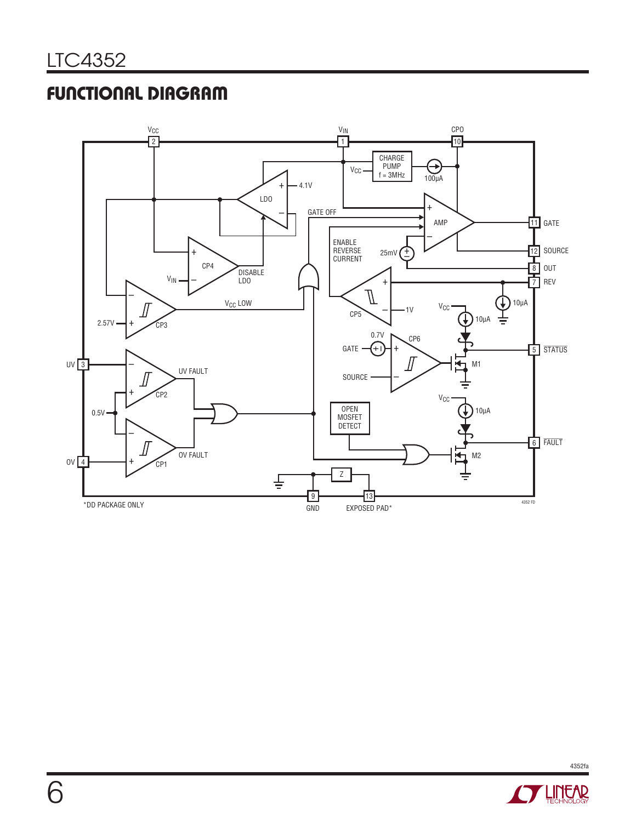### Functional Diagram



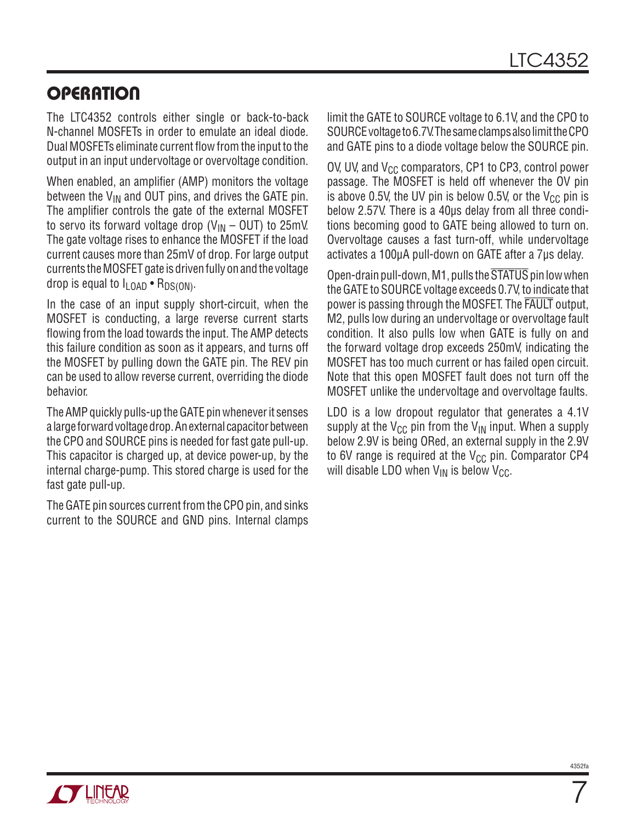### **OPERATION**

The LTC4352 controls either single or back-to-back N-channel MOSFETs in order to emulate an ideal diode. Dual MOSFETs eliminate current flow from the input to the output in an input undervoltage or overvoltage condition.

When enabled, an amplifier (AMP) monitors the voltage between the  $V_{IN}$  and OUT pins, and drives the GATE pin. The amplifier controls the gate of the external MOSFET to servo its forward voltage drop ( $V_{IN}$  – OUT) to 25mV. The gate voltage rises to enhance the MOSFET if the load current causes more than 25mV of drop. For large output currents the MOSFET gate is driven fully on and the voltage drop is equal to  $I_{\text{LOAD}} \cdot R_{\text{DS(ON)}}$ .

In the case of an input supply short-circuit, when the MOSFET is conducting, a large reverse current starts flowing from the load towards the input. The AMP detects this failure condition as soon as it appears, and turns off the MOSFET by pulling down the GATE pin. The REV pin can be used to allow reverse current, overriding the diode behavior.

The AMP quickly pulls-up the GATE pin whenever it senses a large forward voltage drop. An external capacitor between the CPO and SOURCE pins is needed for fast gate pull-up. This capacitor is charged up, at device power-up, by the internal charge-pump. This stored charge is used for the fast gate pull-up.

The GATE pin sources current from the CPO pin, and sinks current to the SOURCE and GND pins. Internal clamps limit the GATE to SOURCE voltage to 6.1V, and the CPO to SOURCE voltage to 6.7V.The same clamps also limit the CPO and GATE pins to a diode voltage below the SOURCE pin.

OV, UV, and  $V_{CC}$  comparators, CP1 to CP3, control power passage. The MOSFET is held off whenever the OV pin is above 0.5V, the UV pin is below 0.5V, or the  $V_{CC}$  pin is below 2.57V. There is a 40µs delay from all three conditions becoming good to GATE being allowed to turn on. Overvoltage causes a fast turn-off, while undervoltage activates a 100μA pull-down on GATE after a 7μs delay.

Open-drain pull-down, M1, pulls the STATUS pin low when the GATE to SOURCE voltage exceeds 0.7V, to indicate that power is passing through the MOSFET. The FAULT output, M2, pulls low during an undervoltage or overvoltage fault condition. It also pulls low when GATE is fully on and the forward voltage drop exceeds 250mV, indicating the MOSFET has too much current or has failed open circuit. Note that this open MOSFET fault does not turn off the MOSFET unlike the undervoltage and overvoltage faults.

LDO is a low dropout regulator that generates a 4.1V supply at the  $V_{\text{CC}}$  pin from the  $V_{\text{IN}}$  input. When a supply below 2.9V is being ORed, an external supply in the 2.9V to 6V range is required at the  $V_{CC}$  pin. Comparator CP4 will disable LDO when  $V_{IN}$  is below  $V_{CC}$ .

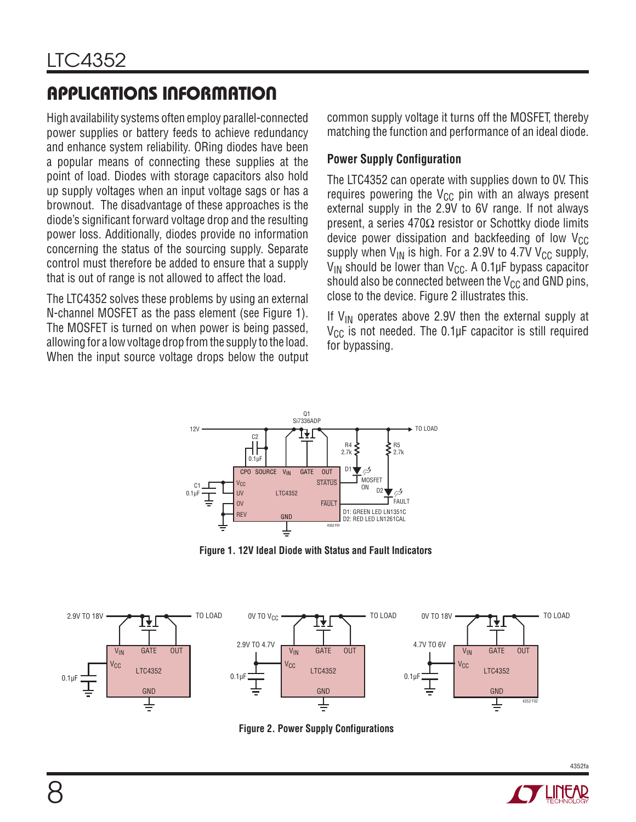# Applications Information

High availability systems often employ parallel-connected power supplies or battery feeds to achieve redundancy and enhance system reliability. ORing diodes have been a popular means of connecting these supplies at the point of load. Diodes with storage capacitors also hold up supply voltages when an input voltage sags or has a brownout. The disadvantage of these approaches is the diode's significant forward voltage drop and the resulting power loss. Additionally, diodes provide no information concerning the status of the sourcing supply. Separate control must therefore be added to ensure that a supply that is out of range is not allowed to affect the load.

The LTC4352 solves these problems by using an external N-channel MOSFET as the pass element (see Figure 1). The MOSFET is turned on when power is being passed, allowing for a low voltage drop from the supply to the load. When the input source voltage drops below the output common supply voltage it turns off the MOSFET, thereby matching the function and performance of an ideal diode.

### **Power Supply Configuration**

The LTC4352 can operate with supplies down to 0V. This requires powering the  $V_{CC}$  pin with an always present external supply in the 2.9V to 6V range. If not always present, a series 470Ω resistor or Schottky diode limits device power dissipation and backfeeding of low  $V_{CC}$ supply when  $V_{IN}$  is high. For a 2.9V to 4.7V V<sub>CC</sub> supply,  $V_{IN}$  should be lower than  $V_{CG}$ . A 0.1µF bypass capacitor should also be connected between the  $V_{CC}$  and GND pins, close to the device. Figure 2 illustrates this.

If  $V_{IN}$  operates above 2.9V then the external supply at  $V_{CC}$  is not needed. The 0.1µF capacitor is still required for bypassing.



**Figure 1. 12V Ideal Diode with Status and Fault Indicators**



**Figure 2. Power Supply Configurations**

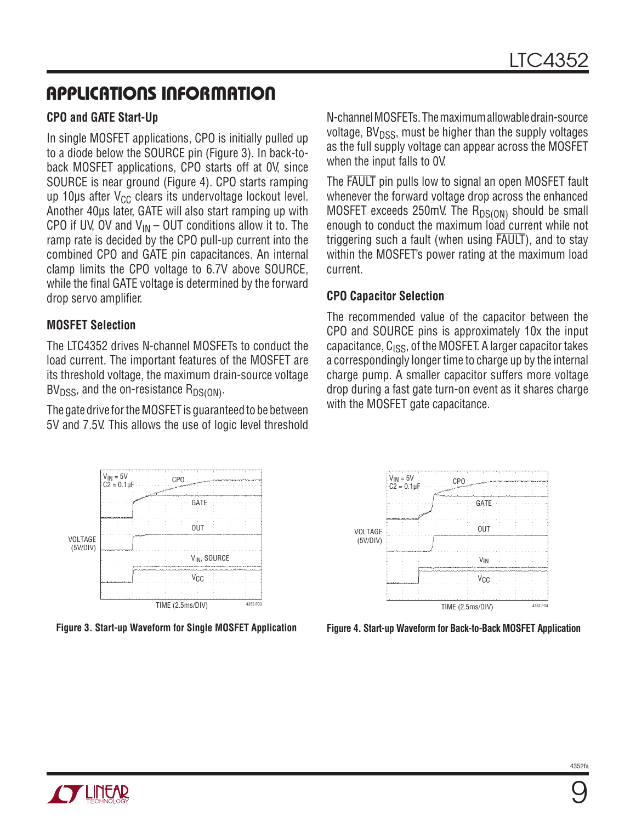# APPLICATIONS INFORMATION

### **CPO and GATE Start-Up**

In single MOSFET applications, CPO is initially pulled up to a diode below the SOURCE pin (Figure 3). In back-toback MOSFET applications, CPO starts off at 0V, since SOURCE is near ground (Figure 4). CPO starts ramping up 10 $\mu$ s after V<sub>CC</sub> clears its undervoltage lockout level. Another 40µs later, GATE will also start ramping up with CPO if UV, OV and  $V_{IN}$  – OUT conditions allow it to. The ramp rate is decided by the CPO pull-up current into the combined CPO and GATE pin capacitances. An internal clamp limits the CPO voltage to 6.7V above SOURCE, while the final GATE voltage is determined by the forward drop servo amplifier.

### **MOSFET Selection**

The LTC4352 drives N-channel MOSFETs to conduct the load current. The important features of the MOSFET are its threshold voltage, the maximum drain-source voltage  $BV<sub>DSS</sub>$ , and the on-resistance  $R<sub>DS(ON)</sub>$ .

The gate drive for the MOSFET is guaranteed to be between 5V and 7.5V. This allows the use of logic level threshold N-channel MOSFETs. The maximum allowable drain-source voltage,  $BV<sub>DSS</sub>$ , must be higher than the supply voltages as the full supply voltage can appear across the MOSFET when the input falls to 0V.

The FAULT pin pulls low to signal an open MOSFET fault whenever the forward voltage drop across the enhanced MOSFET exceeds 250mV. The  $R_{DS(ON)}$  should be small enough to conduct the maximum load current while not triggering such a fault (when using FAULT), and to stay within the MOSFET's power rating at the maximum load current.

### **CPO Capacitor Selection**

The recommended value of the capacitor between the CPO and SOURCE pins is approximately 10x the input capacitance,  $C_{ISS}$ , of the MOSFET. A larger capacitor takes a correspondingly longer time to charge up by the internal charge pump. A smaller capacitor suffers more voltage drop during a fast gate turn-on event as it shares charge with the MOSFET gate capacitance.



**Figure 3. Start-up Waveform for Single MOSFET Application**



**Figure 4. Start-up Waveform for Back-to-Back MOSFET Application**

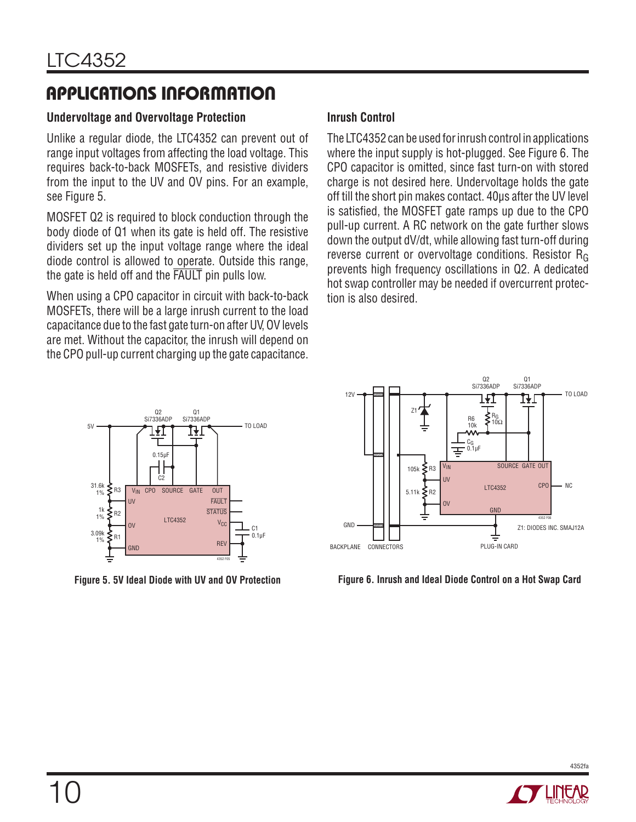# Applications Information

### **Undervoltage and Overvoltage Protection**

Unlike a regular diode, the LTC4352 can prevent out of range input voltages from affecting the load voltage. This requires back-to-back MOSFETs, and resistive dividers from the input to the UV and OV pins. For an example, see Figure 5.

MOSFET Q2 is required to block conduction through the body diode of Q1 when its gate is held off. The resistive dividers set up the input voltage range where the ideal diode control is allowed to operate. Outside this range, the gate is held off and the FAULT pin pulls low.

When using a CPO capacitor in circuit with back-to-back MOSFETs, there will be a large inrush current to the load capacitance due to the fast gate turn-on after UV, OV levels are met. Without the capacitor, the inrush will depend on the CPO pull-up current charging up the gate capacitance.

#### UV LTC4352 **FAILT STATUS**  $V_{C}$ 31.6k 1% 1k 1% 3.09k 1% C1 5V <del>Q + 2 D + 2 P + 2 P + 2 D +</del> TO LOAD  $Q<sub>2</sub>$ Si7336ADP  $Q<sub>1</sub>$ Si7336ADP 0.1µF 4352 F05 V<sub>IN</sub> CPO SOURCE GATE OUT 0.15µF  $C<sub>2</sub>$ REV GND ∕ R2 R1  $\mathsf{S}$  R3 OV

**Figure 5. 5V Ideal Diode with UV and OV Protection**

### **Inrush Control**

The LTC4352 can be used for inrush control in applications where the input supply is hot-plugged. See Figure 6. The CPO capacitor is omitted, since fast turn-on with stored charge is not desired here. Undervoltage holds the gate off till the short pin makes contact. 40µs after the UV level is satisfied, the MOSFET gate ramps up due to the CPO pull-up current. A RC network on the gate further slows down the output dV/dt, while allowing fast turn-off during reverse current or overvoltage conditions. Resistor RG prevents high frequency oscillations in Q2. A dedicated hot swap controller may be needed if overcurrent protection is also desired.





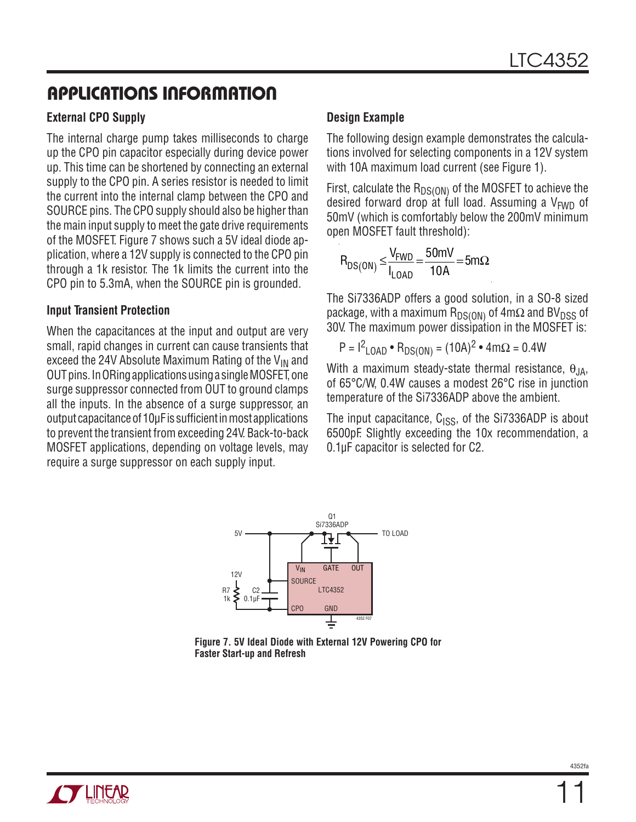### Applications INFORMATION

### **External CPO Supply**

The internal charge pump takes milliseconds to charge up the CPO pin capacitor especially during device power up. This time can be shortened by connecting an external supply to the CPO pin. A series resistor is needed to limit the current into the internal clamp between the CPO and SOURCE pins. The CPO supply should also be higher than the main input supply to meet the gate drive requirements of the MOSFET. Figure 7 shows such a 5V ideal diode application, where a 12V supply is connected to the CPO pin through a 1k resistor. The 1k limits the current into the CPO pin to 5.3mA, when the SOURCE pin is grounded.

#### **Input Transient Protection**

When the capacitances at the input and output are very small, rapid changes in current can cause transients that exceed the 24V Absolute Maximum Rating of the  $V_{IN}$  and OUT pins. In ORing applications using a single MOSFET, one surge suppressor connected from OUT to ground clamps all the inputs. In the absence of a surge suppressor, an output capacitance of 10μF is sufficient in most applications to prevent the transient from exceeding 24V. Back-to-back MOSFET applications, depending on voltage levels, may require a surge suppressor on each supply input.

#### **Design Example**

The following design example demonstrates the calculations involved for selecting components in a 12V system with 10A maximum load current (see Figure 1).

First, calculate the  $R_{DS(ON)}$  of the MOSFET to achieve the desired forward drop at full load. Assuming a  $V_{FWD}$  of 50mV (which is comfortably below the 200mV minimum open MOSFET fault threshold):

$$
R_{DS(ON)} \leq \frac{V_{FWD}}{I_{LOAD}} = \frac{50mV}{10A} = 5m\Omega
$$

The Si7336ADP offers a good solution, in a SO-8 sized package, with a maximum  $R_{DS(ON)}$  of  $4m\Omega$  and BV<sub>DSS</sub> of 30V. The maximum power dissipation in the MOSFET is:

$$
P = I^2_{\text{LOAD}} \cdot R_{DS(ON)} = (10A)^2 \cdot 4m\Omega = 0.4W
$$

With a maximum steady-state thermal resistance,  $\theta_{JA}$ , of 65°C/W, 0.4W causes a modest 26°C rise in junction temperature of the Si7336ADP above the ambient.

The input capacitance,  $C_{ISS}$ , of the Si7336ADP is about 6500pF. Slightly exceeding the 10x recommendation, a 0.1µF capacitor is selected for C2.





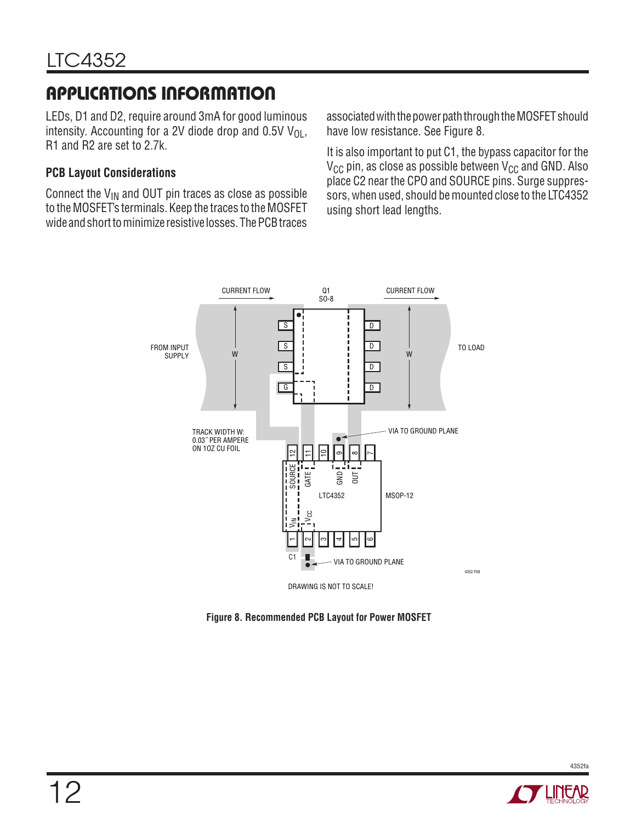# Applications INFORMATION

LEDs, D1 and D2, require around 3mA for good luminous intensity. Accounting for a 2V diode drop and 0.5V  $V_{\Omega}$ , R1 and R2 are set to 2.7k.

### **PCB Layout Considerations**

Connect the  $V_{IN}$  and OUT pin traces as close as possible to the MOSFET's terminals. Keep the traces to the MOSFET wide and short to minimize resistive losses. The PCB traces

associated with the power path through the MOSFET should have low resistance. See Figure 8.

It is also important to put C1, the bypass capacitor for the  $V_{CC}$  pin, as close as possible between  $V_{CC}$  and GND. Also place C2 near the CPO and SOURCE pins. Surge suppressors, when used, should be mounted close to the LTC4352 using short lead lengths.



**Figure 8. Recommended PCB Layout for Power MOSFET**

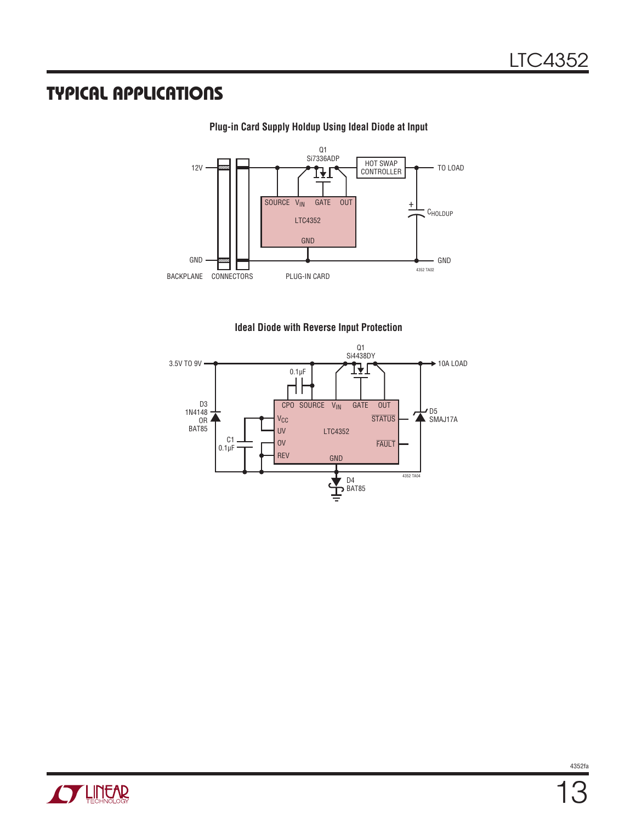### Typical Applications



#### **Plug-in Card Supply Holdup Using Ideal Diode at Input**





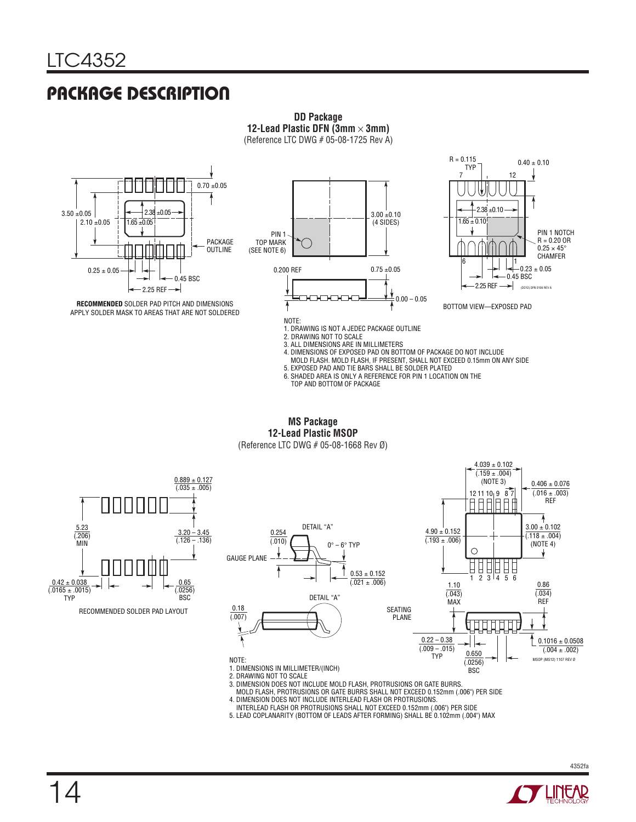### Package Description



**DD Package 12-Lead Plastic DFN (3mm** × **3mm)**

3. ALL DIMENSIONS ARE IN MILLIMETERS<br>4. DIMENSIONS OF EXPOSED PAD ON BOTTOM OF PACKAGE DO NOT INCLUDE<br>MOLD FLASH. MOLD FLASH, IF PRESENT, SHALL NOT EXCEED 0.15mm ON ANY SIDE

5. EXPOSED PAD AND TIE BARS SHALL BE SOLDER PLATED

6. SHADED AREA IS ONLY A REFERENCE FOR PIN 1 LOCATION ON THE TOP AND BOTTOM OF PACKAGE

**MS Package 12-Lead Plastic MSOP** (Reference LTC DWG # 05-08-1668 Rev Ø)



1. DIMENSIONS IN MILLIMETER/(INCH)

2. DRAWING NOT TO SCALE

3. DIMENSION DOES NOT INCLUDE MOLD FLASH, PROTRUSIONS OR GATE BURRS. MOLD FLASH, PROTRUSIONS OR GATE BURRS SHALL NOT EXCEED 0.152mm (.006") PER SIDE

4. DIMENSION DOES NOT INCLUDE INTERLEAD FLASH OR PROTRUSIONS.

INTERLEAD FLASH OR PROTRUSIONS SHALL NOT EXCEED 0.152mm (.006") PER SIDE 5. LEAD COPLANARITY (BOTTOM OF LEADS AFTER FORMING) SHALL BE 0.102mm (.004") MAX



BSC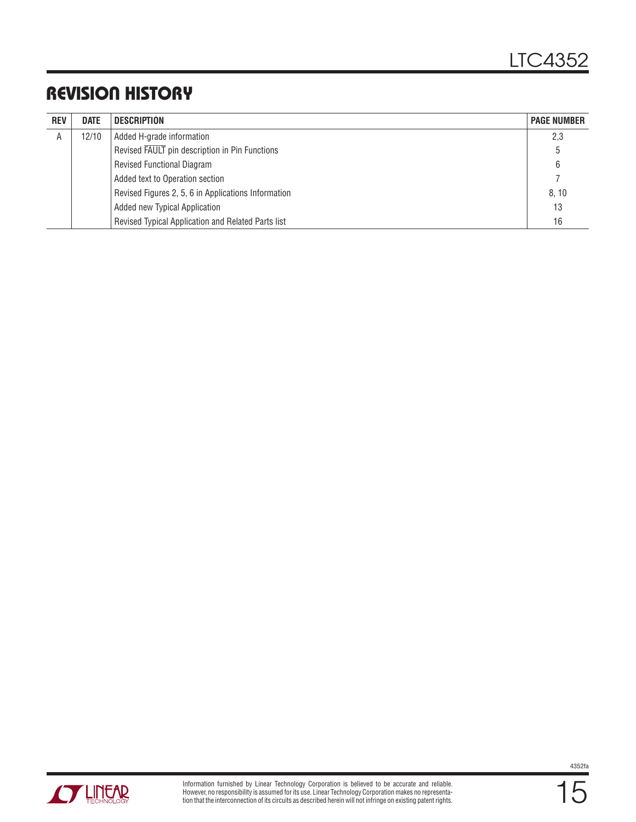### Revision History

| <b>REV</b> | <b>DATE</b> | DESCRIPTION                                         | <b>PAGE NUMBER</b> |
|------------|-------------|-----------------------------------------------------|--------------------|
| Α          | 12/10       | Added H-grade information                           | 2,3                |
|            |             | Revised FAULT pin description in Pin Functions      | 5                  |
|            |             | <b>Revised Functional Diagram</b>                   | 6                  |
|            |             | Added text to Operation section                     |                    |
|            |             | Revised Figures 2, 5, 6 in Applications Information | 8, 10              |
|            |             | Added new Typical Application                       | 13                 |
|            |             | Revised Typical Application and Related Parts list  | 16                 |